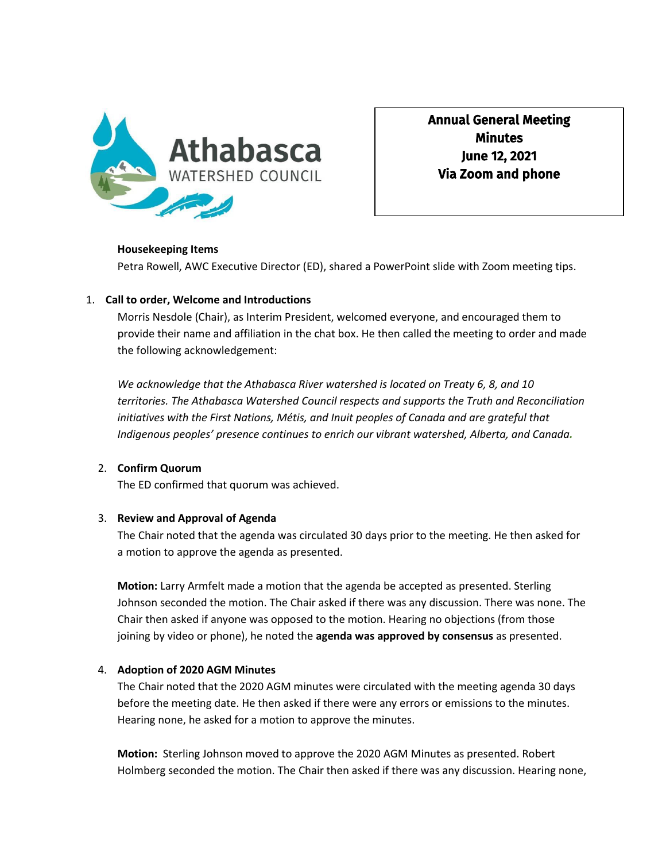

Annual General Meeting **Minutes** June 12, 2021 Via Zoom and phone

#### **Housekeeping Items**

Petra Rowell, AWC Executive Director (ED), shared a PowerPoint slide with Zoom meeting tips.

### 1. **Call to order, Welcome and Introductions**

Morris Nesdole (Chair), as Interim President, welcomed everyone, and encouraged them to provide their name and affiliation in the chat box. He then called the meeting to order and made the following acknowledgement:

*We acknowledge that the Athabasca River watershed is located on Treaty 6, 8, and 10 territories. The Athabasca Watershed Council respects and supports the Truth and Reconciliation initiatives with the First Nations, Métis, and Inuit peoples of Canada and are grateful that Indigenous peoples' presence continues to enrich our vibrant watershed, Alberta, and Canada.*

### 2. **Confirm Quorum**

The ED confirmed that quorum was achieved.

#### 3. **Review and Approval of Agenda**

The Chair noted that the agenda was circulated 30 days prior to the meeting. He then asked for a motion to approve the agenda as presented.

**Motion:** Larry Armfelt made a motion that the agenda be accepted as presented. Sterling Johnson seconded the motion. The Chair asked if there was any discussion. There was none. The Chair then asked if anyone was opposed to the motion. Hearing no objections (from those joining by video or phone), he noted the **agenda was approved by consensus** as presented.

#### 4. **Adoption of 2020 AGM Minutes**

The Chair noted that the 2020 AGM minutes were circulated with the meeting agenda 30 days before the meeting date. He then asked if there were any errors or emissions to the minutes. Hearing none, he asked for a motion to approve the minutes.

**Motion:** Sterling Johnson moved to approve the 2020 AGM Minutes as presented. Robert Holmberg seconded the motion. The Chair then asked if there was any discussion. Hearing none,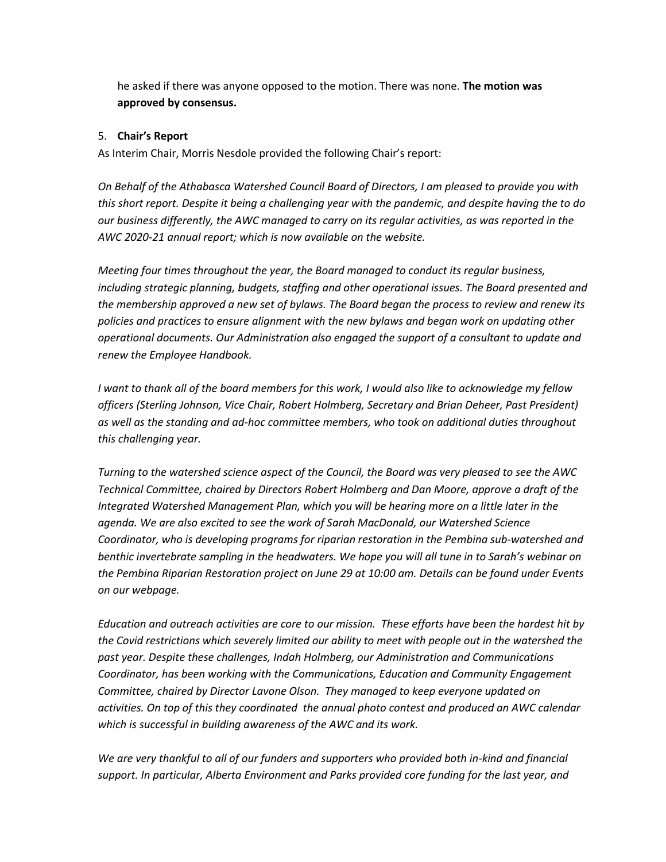he asked if there was anyone opposed to the motion. There was none. **The motion was approved by consensus.**

## 5. **Chair's Report**

As Interim Chair, Morris Nesdole provided the following Chair's report:

*On Behalf of the Athabasca Watershed Council Board of Directors, I am pleased to provide you with this short report. Despite it being a challenging year with the pandemic, and despite having the to do our business differently, the AWC managed to carry on its regular activities, as was reported in the AWC 2020-21 annual report; which is now available on the website.* 

*Meeting four times throughout the year, the Board managed to conduct its regular business, including strategic planning, budgets, staffing and other operational issues. The Board presented and the membership approved a new set of bylaws. The Board began the process to review and renew its policies and practices to ensure alignment with the new bylaws and began work on updating other operational documents. Our Administration also engaged the support of a consultant to update and renew the Employee Handbook.* 

*I want to thank all of the board members for this work, I would also like to acknowledge my fellow officers (Sterling Johnson, Vice Chair, Robert Holmberg, Secretary and Brian Deheer, Past President) as well as the standing and ad-hoc committee members, who took on additional duties throughout this challenging year.* 

*Turning to the watershed science aspect of the Council, the Board was very pleased to see the AWC Technical Committee, chaired by Directors Robert Holmberg and Dan Moore, approve a draft of the Integrated Watershed Management Plan, which you will be hearing more on a little later in the agenda. We are also excited to see the work of Sarah MacDonald, our Watershed Science Coordinator, who is developing programs for riparian restoration in the Pembina sub-watershed and benthic invertebrate sampling in the headwaters. We hope you will all tune in to Sarah's webinar on the Pembina Riparian Restoration project on June 29 at 10:00 am. Details can be found under Events on our webpage.*

*Education and outreach activities are core to our mission. These efforts have been the hardest hit by the Covid restrictions which severely limited our ability to meet with people out in the watershed the past year. Despite these challenges, Indah Holmberg, our Administration and Communications Coordinator, has been working with the Communications, Education and Community Engagement Committee, chaired by Director Lavone Olson. They managed to keep everyone updated on activities. On top of this they coordinated the annual photo contest and produced an AWC calendar which is successful in building awareness of the AWC and its work.* 

*We are very thankful to all of our funders and supporters who provided both in-kind and financial support. In particular, Alberta Environment and Parks provided core funding for the last year, and*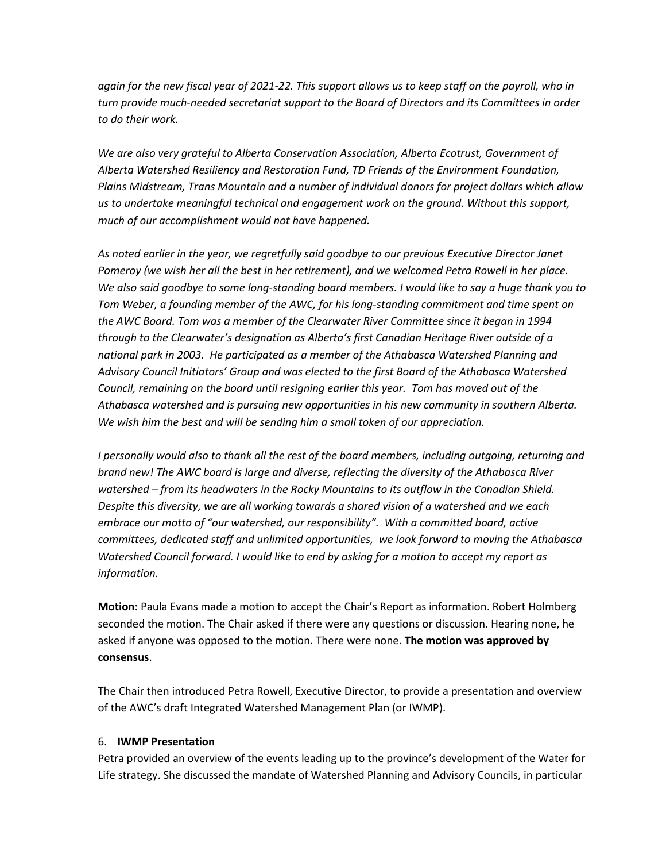again for the new fiscal year of 2021-22. This support allows us to keep staff on the payroll, who in *turn provide much-needed secretariat support to the Board of Directors and its Committees in order to do their work.* 

*We are also very grateful to Alberta Conservation Association, Alberta Ecotrust, Government of Alberta Watershed Resiliency and Restoration Fund, TD Friends of the Environment Foundation, Plains Midstream, Trans Mountain and a number of individual donors for project dollars which allow us to undertake meaningful technical and engagement work on the ground. Without this support, much of our accomplishment would not have happened.*

*As noted earlier in the year, we regretfully said goodbye to our previous Executive Director Janet Pomeroy (we wish her all the best in her retirement), and we welcomed Petra Rowell in her place. We also said goodbye to some long-standing board members. I would like to say a huge thank you to Tom Weber, a founding member of the AWC, for his long-standing commitment and time spent on the AWC Board. Tom was a member of the Clearwater River Committee since it began in 1994 through to the Clearwater's designation as Alberta's first Canadian Heritage River outside of a national park in 2003. He participated as a member of the Athabasca Watershed Planning and Advisory Council Initiators' Group and was elected to the first Board of the Athabasca Watershed Council, remaining on the board until resigning earlier this year. Tom has moved out of the Athabasca watershed and is pursuing new opportunities in his new community in southern Alberta. We wish him the best and will be sending him a small token of our appreciation.* 

*I personally would also to thank all the rest of the board members, including outgoing, returning and brand new! The AWC board is large and diverse, reflecting the diversity of the Athabasca River watershed – from its headwaters in the Rocky Mountains to its outflow in the Canadian Shield. Despite this diversity, we are all working towards a shared vision of a watershed and we each embrace our motto of "our watershed, our responsibility". With a committed board, active committees, dedicated staff and unlimited opportunities, we look forward to moving the Athabasca Watershed Council forward. I would like to end by asking for a motion to accept my report as information.* 

**Motion:** Paula Evans made a motion to accept the Chair's Report as information. Robert Holmberg seconded the motion. The Chair asked if there were any questions or discussion. Hearing none, he asked if anyone was opposed to the motion. There were none. **The motion was approved by consensus**.

The Chair then introduced Petra Rowell, Executive Director, to provide a presentation and overview of the AWC's draft Integrated Watershed Management Plan (or IWMP).

### 6. **IWMP Presentation**

Petra provided an overview of the events leading up to the province's development of the Water for Life strategy. She discussed the mandate of Watershed Planning and Advisory Councils, in particular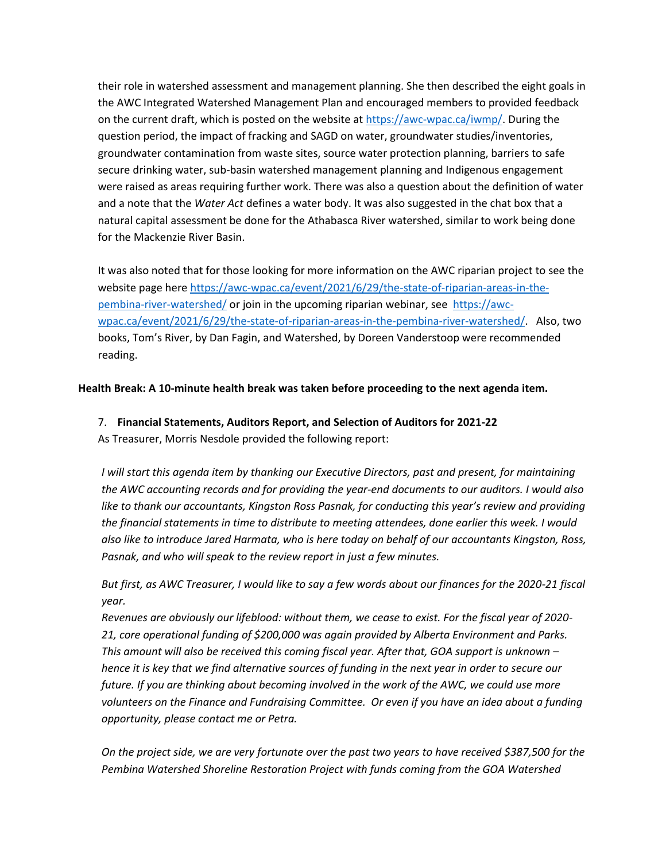their role in watershed assessment and management planning. She then described the eight goals in the AWC Integrated Watershed Management Plan and encouraged members to provided feedback on the current draft, which is posted on the website at [https://awc-wpac.ca/iwmp/.](https://awc-wpac.ca/iwmp/) During the question period, the impact of fracking and SAGD on water, groundwater studies/inventories, groundwater contamination from waste sites, source water protection planning, barriers to safe secure drinking water, sub-basin watershed management planning and Indigenous engagement were raised as areas requiring further work. There was also a question about the definition of water and a note that the *Water Act* defines a water body. It was also suggested in the chat box that a natural capital assessment be done for the Athabasca River watershed, similar to work being done for the Mackenzie River Basin.

It was also noted that for those looking for more information on the AWC riparian project to see the website page here [https://awc-wpac.ca/event/2021/6/29/the-state-of-riparian-areas-in-the](https://awc-wpac.ca/event/2021/6/29/the-state-of-riparian-areas-in-the-pembina-river-watershed/)[pembina-river-watershed/](https://awc-wpac.ca/event/2021/6/29/the-state-of-riparian-areas-in-the-pembina-river-watershed/) or join in the upcoming riparian webinar, see [https://awc](https://awc-wpac.ca/event/2021/6/29/the-state-of-riparian-areas-in-the-pembina-river-watershed/)[wpac.ca/event/2021/6/29/the-state-of-riparian-areas-in-the-pembina-river-watershed/.](https://awc-wpac.ca/event/2021/6/29/the-state-of-riparian-areas-in-the-pembina-river-watershed/) Also, two books, Tom's River, by Dan Fagin, and Watershed, by Doreen Vanderstoop were recommended reading.

**Health Break: A 10-minute health break was taken before proceeding to the next agenda item.** 

# 7. **Financial Statements, Auditors Report, and Selection of Auditors for 2021-22**

As Treasurer, Morris Nesdole provided the following report:

*I will start this agenda item by thanking our Executive Directors, past and present, for maintaining the AWC accounting records and for providing the year-end documents to our auditors. I would also like to thank our accountants, Kingston Ross Pasnak, for conducting this year's review and providing the financial statements in time to distribute to meeting attendees, done earlier this week. I would also like to introduce Jared Harmata, who is here today on behalf of our accountants Kingston, Ross, Pasnak, and who will speak to the review report in just a few minutes.* 

*But first, as AWC Treasurer, I would like to say a few words about our finances for the 2020-21 fiscal year.* 

*Revenues are obviously our lifeblood: without them, we cease to exist. For the fiscal year of 2020- 21, core operational funding of \$200,000 was again provided by Alberta Environment and Parks. This amount will also be received this coming fiscal year. After that, GOA support is unknown – hence it is key that we find alternative sources of funding in the next year in order to secure our future. If you are thinking about becoming involved in the work of the AWC, we could use more volunteers on the Finance and Fundraising Committee. Or even if you have an idea about a funding opportunity, please contact me or Petra.*

*On the project side, we are very fortunate over the past two years to have received \$387,500 for the Pembina Watershed Shoreline Restoration Project with funds coming from the GOA Watershed*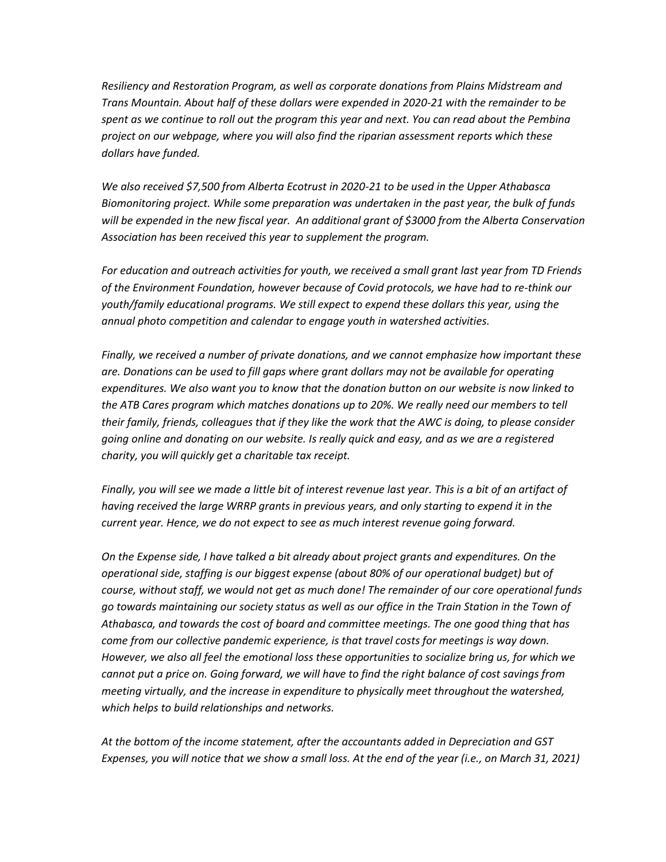*Resiliency and Restoration Program, as well as corporate donations from Plains Midstream and Trans Mountain. About half of these dollars were expended in 2020-21 with the remainder to be spent as we continue to roll out the program this year and next. You can read about the Pembina project on our webpage, where you will also find the riparian assessment reports which these dollars have funded.* 

*We also received \$7,500 from Alberta Ecotrust in 2020-21 to be used in the Upper Athabasca Biomonitoring project. While some preparation was undertaken in the past year, the bulk of funds will be expended in the new fiscal year. An additional grant of \$3000 from the Alberta Conservation Association has been received this year to supplement the program.* 

*For education and outreach activities for youth, we received a small grant last year from TD Friends of the Environment Foundation, however because of Covid protocols, we have had to re-think our youth/family educational programs. We still expect to expend these dollars this year, using the annual photo competition and calendar to engage youth in watershed activities.* 

*Finally, we received a number of private donations, and we cannot emphasize how important these are. Donations can be used to fill gaps where grant dollars may not be available for operating expenditures. We also want you to know that the donation button on our website is now linked to the ATB Cares program which matches donations up to 20%. We really need our members to tell their family, friends, colleagues that if they like the work that the AWC is doing, to please consider going online and donating on our website. Is really quick and easy, and as we are a registered charity, you will quickly get a charitable tax receipt.* 

*Finally, you will see we made a little bit of interest revenue last year. This is a bit of an artifact of having received the large WRRP grants in previous years, and only starting to expend it in the current year. Hence, we do not expect to see as much interest revenue going forward.* 

*On the Expense side, I have talked a bit already about project grants and expenditures. On the operational side, staffing is our biggest expense (about 80% of our operational budget) but of course, without staff, we would not get as much done! The remainder of our core operational funds go towards maintaining our society status as well as our office in the Train Station in the Town of Athabasca, and towards the cost of board and committee meetings. The one good thing that has come from our collective pandemic experience, is that travel costs for meetings is way down. However, we also all feel the emotional loss these opportunities to socialize bring us, for which we cannot put a price on. Going forward, we will have to find the right balance of cost savings from meeting virtually, and the increase in expenditure to physically meet throughout the watershed, which helps to build relationships and networks.* 

*At the bottom of the income statement, after the accountants added in Depreciation and GST Expenses, you will notice that we show a small loss. At the end of the year (i.e., on March 31, 2021)*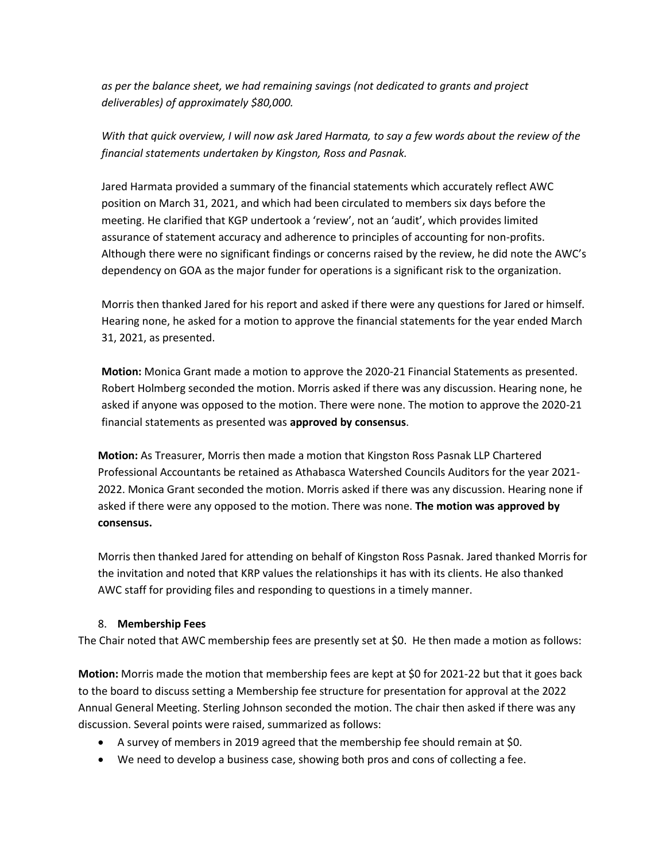*as per the balance sheet, we had remaining savings (not dedicated to grants and project deliverables) of approximately \$80,000.* 

*With that quick overview, I will now ask Jared Harmata, to say a few words about the review of the financial statements undertaken by Kingston, Ross and Pasnak.* 

Jared Harmata provided a summary of the financial statements which accurately reflect AWC position on March 31, 2021, and which had been circulated to members six days before the meeting. He clarified that KGP undertook a 'review', not an 'audit', which provides limited assurance of statement accuracy and adherence to principles of accounting for non-profits. Although there were no significant findings or concerns raised by the review, he did note the AWC's dependency on GOA as the major funder for operations is a significant risk to the organization.

Morris then thanked Jared for his report and asked if there were any questions for Jared or himself. Hearing none, he asked for a motion to approve the financial statements for the year ended March 31, 2021, as presented.

**Motion:** Monica Grant made a motion to approve the 2020-21 Financial Statements as presented. Robert Holmberg seconded the motion. Morris asked if there was any discussion. Hearing none, he asked if anyone was opposed to the motion. There were none. The motion to approve the 2020-21 financial statements as presented was **approved by consensus**.

**Motion:** As Treasurer, Morris then made a motion that Kingston Ross Pasnak LLP Chartered Professional Accountants be retained as Athabasca Watershed Councils Auditors for the year 2021- 2022. Monica Grant seconded the motion. Morris asked if there was any discussion. Hearing none if asked if there were any opposed to the motion. There was none. **The motion was approved by consensus.** 

Morris then thanked Jared for attending on behalf of Kingston Ross Pasnak. Jared thanked Morris for the invitation and noted that KRP values the relationships it has with its clients. He also thanked AWC staff for providing files and responding to questions in a timely manner.

## 8. **Membership Fees**

The Chair noted that AWC membership fees are presently set at \$0. He then made a motion as follows:

**Motion:** Morris made the motion that membership fees are kept at \$0 for 2021-22 but that it goes back to the board to discuss setting a Membership fee structure for presentation for approval at the 2022 Annual General Meeting. Sterling Johnson seconded the motion. The chair then asked if there was any discussion. Several points were raised, summarized as follows:

- A survey of members in 2019 agreed that the membership fee should remain at \$0.
- We need to develop a business case, showing both pros and cons of collecting a fee.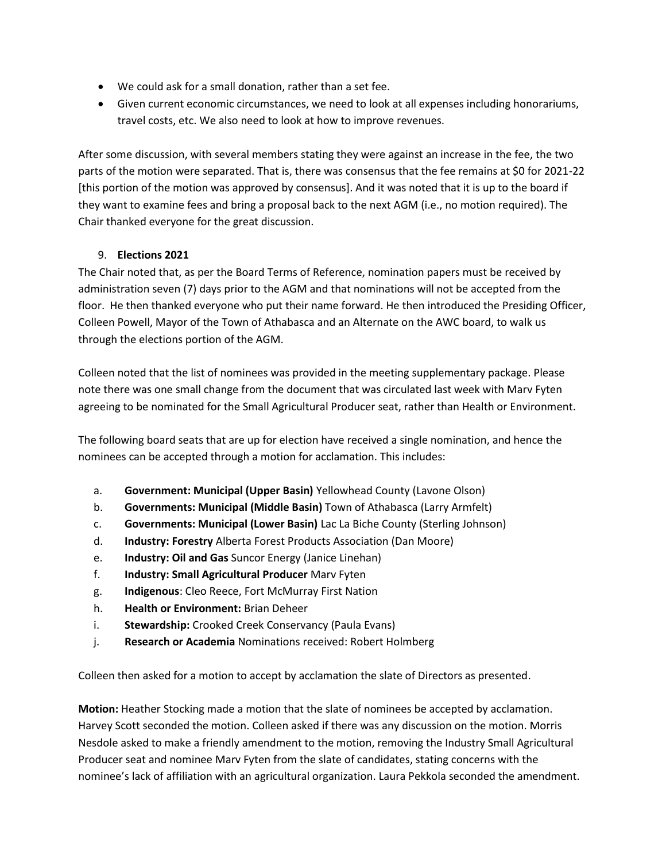- We could ask for a small donation, rather than a set fee.
- Given current economic circumstances, we need to look at all expenses including honorariums, travel costs, etc. We also need to look at how to improve revenues.

After some discussion, with several members stating they were against an increase in the fee, the two parts of the motion were separated. That is, there was consensus that the fee remains at \$0 for 2021-22 [this portion of the motion was approved by consensus]. And it was noted that it is up to the board if they want to examine fees and bring a proposal back to the next AGM (i.e., no motion required). The Chair thanked everyone for the great discussion.

## 9. **Elections 2021**

The Chair noted that, as per the Board Terms of Reference, nomination papers must be received by administration seven (7) days prior to the AGM and that nominations will not be accepted from the floor. He then thanked everyone who put their name forward. He then introduced the Presiding Officer, Colleen Powell, Mayor of the Town of Athabasca and an Alternate on the AWC board, to walk us through the elections portion of the AGM.

Colleen noted that the list of nominees was provided in the meeting supplementary package. Please note there was one small change from the document that was circulated last week with Marv Fyten agreeing to be nominated for the Small Agricultural Producer seat, rather than Health or Environment.

The following board seats that are up for election have received a single nomination, and hence the nominees can be accepted through a motion for acclamation. This includes:

- a. **Government: Municipal (Upper Basin)** Yellowhead County (Lavone Olson)
- b. **Governments: Municipal (Middle Basin)** Town of Athabasca (Larry Armfelt)
- c. **Governments: Municipal (Lower Basin)** Lac La Biche County (Sterling Johnson)
- d. **Industry: Forestry** Alberta Forest Products Association (Dan Moore)
- e. **Industry: Oil and Gas** Suncor Energy (Janice Linehan)
- f. **Industry: Small Agricultural Producer** Marv Fyten
- g. **Indigenous**: Cleo Reece, Fort McMurray First Nation
- h. **Health or Environment:** Brian Deheer
- i. **Stewardship:** Crooked Creek Conservancy (Paula Evans)
- j. **Research or Academia** Nominations received: Robert Holmberg

Colleen then asked for a motion to accept by acclamation the slate of Directors as presented.

**Motion:** Heather Stocking made a motion that the slate of nominees be accepted by acclamation. Harvey Scott seconded the motion. Colleen asked if there was any discussion on the motion. Morris Nesdole asked to make a friendly amendment to the motion, removing the Industry Small Agricultural Producer seat and nominee Marv Fyten from the slate of candidates, stating concerns with the nominee's lack of affiliation with an agricultural organization. Laura Pekkola seconded the amendment.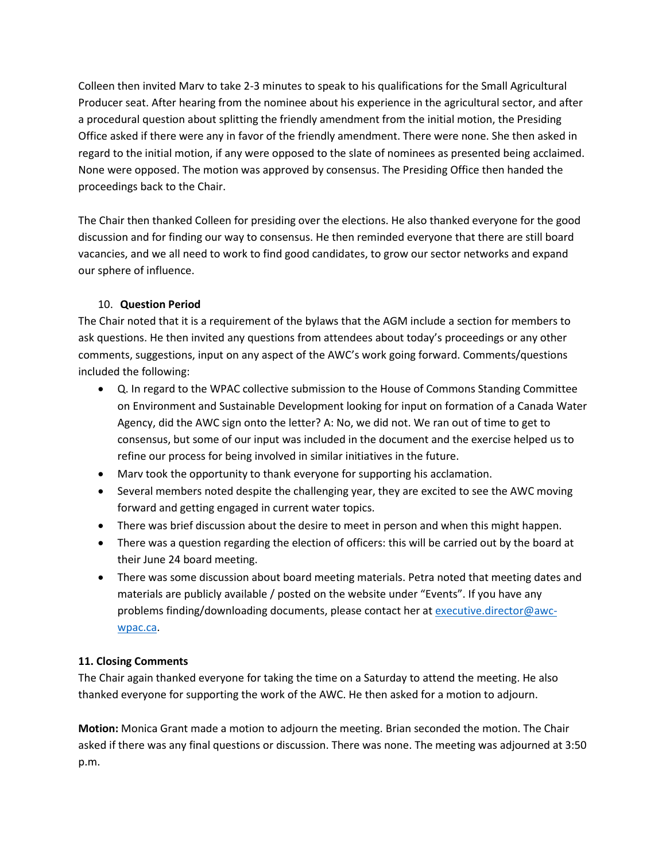Colleen then invited Marv to take 2-3 minutes to speak to his qualifications for the Small Agricultural Producer seat. After hearing from the nominee about his experience in the agricultural sector, and after a procedural question about splitting the friendly amendment from the initial motion, the Presiding Office asked if there were any in favor of the friendly amendment. There were none. She then asked in regard to the initial motion, if any were opposed to the slate of nominees as presented being acclaimed. None were opposed. The motion was approved by consensus. The Presiding Office then handed the proceedings back to the Chair.

The Chair then thanked Colleen for presiding over the elections. He also thanked everyone for the good discussion and for finding our way to consensus. He then reminded everyone that there are still board vacancies, and we all need to work to find good candidates, to grow our sector networks and expand our sphere of influence.

## 10. **Question Period**

The Chair noted that it is a requirement of the bylaws that the AGM include a section for members to ask questions. He then invited any questions from attendees about today's proceedings or any other comments, suggestions, input on any aspect of the AWC's work going forward. Comments/questions included the following:

- Q. In regard to the WPAC collective submission to the House of Commons Standing Committee on Environment and Sustainable Development looking for input on formation of a Canada Water Agency, did the AWC sign onto the letter? A: No, we did not. We ran out of time to get to consensus, but some of our input was included in the document and the exercise helped us to refine our process for being involved in similar initiatives in the future.
- Marv took the opportunity to thank everyone for supporting his acclamation.
- Several members noted despite the challenging year, they are excited to see the AWC moving forward and getting engaged in current water topics.
- There was brief discussion about the desire to meet in person and when this might happen.
- There was a question regarding the election of officers: this will be carried out by the board at their June 24 board meeting.
- There was some discussion about board meeting materials. Petra noted that meeting dates and materials are publicly available / posted on the website under "Events". If you have any problems finding/downloading documents, please contact her at [executive.director@awc](mailto:executive.director@awc-wpac.ca)[wpac.ca.](mailto:executive.director@awc-wpac.ca)

# **11. Closing Comments**

The Chair again thanked everyone for taking the time on a Saturday to attend the meeting. He also thanked everyone for supporting the work of the AWC. He then asked for a motion to adjourn.

**Motion:** Monica Grant made a motion to adjourn the meeting. Brian seconded the motion. The Chair asked if there was any final questions or discussion. There was none. The meeting was adjourned at 3:50 p.m.